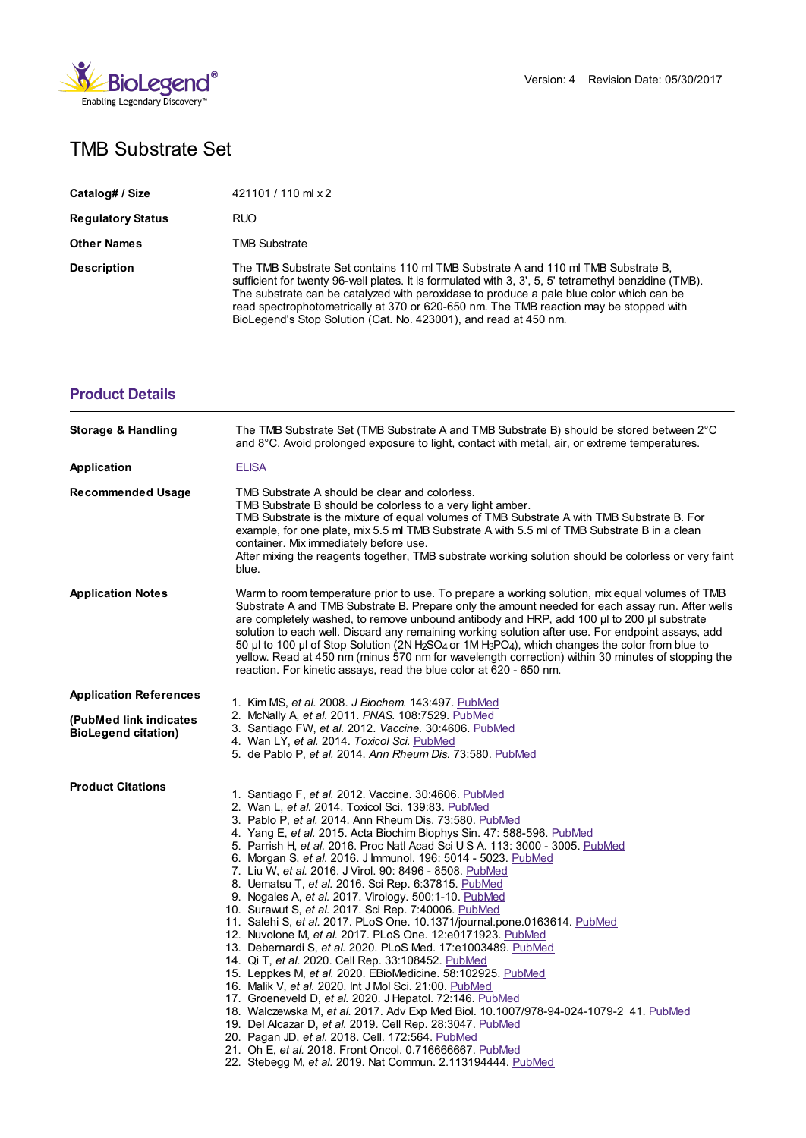

## TMB Substrate Set

| Catalog# / Size          | 421101 / 110 ml x 2                                                                                                                                                                                                                                                                                                                                                                                                                                  |
|--------------------------|------------------------------------------------------------------------------------------------------------------------------------------------------------------------------------------------------------------------------------------------------------------------------------------------------------------------------------------------------------------------------------------------------------------------------------------------------|
| <b>Regulatory Status</b> | <b>RUO</b>                                                                                                                                                                                                                                                                                                                                                                                                                                           |
| <b>Other Names</b>       | TMB Substrate                                                                                                                                                                                                                                                                                                                                                                                                                                        |
| <b>Description</b>       | The TMB Substrate Set contains 110 ml TMB Substrate A and 110 ml TMB Substrate B.<br>sufficient for twenty 96-well plates. It is formulated with 3, 3', 5, 5' tetramethyl benzidine (TMB).<br>The substrate can be catalyzed with peroxidase to produce a pale blue color which can be<br>read spectrophotometrically at 370 or 620-650 nm. The TMB reaction may be stopped with<br>BioLegend's Stop Solution (Cat. No. 423001), and read at 450 nm. |

## **[Product](https://www.biolegend.com/en-gb/products/tmb-substrate-set-1493?pdf=true&displayInline=true&leftRightMargin=15&topBottomMargin=15&filename=TMB Substrate Set.pdf#productDetails) Details**

| Storage & Handling                                   | The TMB Substrate Set (TMB Substrate A and TMB Substrate B) should be stored between 2°C<br>and $8^{\circ}$ C. Avoid prolonged exposure to light, contact with metal, air, or extreme temperatures.                                                                                                                                                                                                                                                                                                                                                                                                                                                                                                                                                                                                                                                                                                                                                                                                                                                                                                                                                                                                                                                                                                                                                                                                                                 |
|------------------------------------------------------|-------------------------------------------------------------------------------------------------------------------------------------------------------------------------------------------------------------------------------------------------------------------------------------------------------------------------------------------------------------------------------------------------------------------------------------------------------------------------------------------------------------------------------------------------------------------------------------------------------------------------------------------------------------------------------------------------------------------------------------------------------------------------------------------------------------------------------------------------------------------------------------------------------------------------------------------------------------------------------------------------------------------------------------------------------------------------------------------------------------------------------------------------------------------------------------------------------------------------------------------------------------------------------------------------------------------------------------------------------------------------------------------------------------------------------------|
| Application                                          | <b>ELISA</b>                                                                                                                                                                                                                                                                                                                                                                                                                                                                                                                                                                                                                                                                                                                                                                                                                                                                                                                                                                                                                                                                                                                                                                                                                                                                                                                                                                                                                        |
| <b>Recommended Usage</b>                             | TMB Substrate A should be clear and colorless.<br>TMB Substrate B should be colorless to a very light amber.<br>TMB Substrate is the mixture of equal volumes of TMB Substrate A with TMB Substrate B. For<br>example, for one plate, mix 5.5 ml TMB Substrate A with 5.5 ml of TMB Substrate B in a clean<br>container. Mix immediately before use.<br>After mixing the reagents together, TMB substrate working solution should be colorless or very faint<br>blue.                                                                                                                                                                                                                                                                                                                                                                                                                                                                                                                                                                                                                                                                                                                                                                                                                                                                                                                                                               |
| <b>Application Notes</b>                             | Warm to room temperature prior to use. To prepare a working solution, mix equal volumes of TMB<br>Substrate A and TMB Substrate B. Prepare only the amount needed for each assay run. After wells<br>are completely washed, to remove unbound antibody and HRP, add 100 µl to 200 µl substrate<br>solution to each well. Discard any remaining working solution after use. For endpoint assays, add<br>50 µl to 100 µl of Stop Solution (2N H <sub>2</sub> SO <sub>4</sub> or 1M H <sub>3</sub> PO <sub>4</sub> ), which changes the color from blue to<br>yellow. Read at 450 nm (minus 570 nm for wavelength correction) within 30 minutes of stopping the<br>reaction. For kinetic assays, read the blue color at 620 - 650 nm.                                                                                                                                                                                                                                                                                                                                                                                                                                                                                                                                                                                                                                                                                                  |
| <b>Application References</b>                        | 1. Kim MS, et al. 2008. J Biochem. 143:497. PubMed                                                                                                                                                                                                                                                                                                                                                                                                                                                                                                                                                                                                                                                                                                                                                                                                                                                                                                                                                                                                                                                                                                                                                                                                                                                                                                                                                                                  |
| (PubMed link indicates<br><b>BioLegend citation)</b> | 2. McNally A, et al. 2011. PNAS. 108:7529. PubMed<br>3. Santiago FW, et al. 2012. Vaccine. 30:4606. PubMed<br>4. Wan LY, et al. 2014. Toxicol Sci. PubMed<br>5. de Pablo P, et al. 2014. Ann Rheum Dis. 73:580. PubMed                                                                                                                                                                                                                                                                                                                                                                                                                                                                                                                                                                                                                                                                                                                                                                                                                                                                                                                                                                                                                                                                                                                                                                                                              |
| <b>Product Citations</b>                             | 1. Santiago F, et al. 2012. Vaccine. 30:4606. PubMed<br>2. Wan L, et al. 2014. Toxicol Sci. 139:83. PubMed<br>3. Pablo P, et al. 2014. Ann Rheum Dis. 73:580. PubMed<br>4. Yang E, et al. 2015. Acta Biochim Biophys Sin. 47: 588-596. PubMed<br>5. Parrish H, et al. 2016. Proc Natl Acad Sci U S A. 113: 3000 - 3005. PubMed<br>6. Morgan S, et al. 2016. J Immunol. 196: 5014 - 5023. PubMed<br>7. Liu W, et al. 2016. J Virol. 90: 8496 - 8508. PubMed<br>8. Uematsu T, et al. 2016. Sci Rep. 6:37815. PubMed<br>9. Nogales A, et al. 2017. Virology. 500:1-10. PubMed<br>10. Surawut S, et al. 2017. Sci Rep. 7:40006. PubMed<br>11. Salehi S, <i>et al.</i> 2017. PLoS One. 10.1371/journal.pone.0163614. PubMed<br>12. Nuvolone M, et al. 2017. PLoS One. 12:e0171923. PubMed<br>13. Debernardi S, et al. 2020. PLoS Med. 17:e1003489. PubMed<br>14. Qi T, et al. 2020. Cell Rep. 33:108452. PubMed<br>15. Leppkes M, et al. 2020. EBioMedicine. 58:102925. PubMed<br>16. Malik V, et al. 2020. Int J Mol Sci. 21:00. PubMed<br>17. Groeneveld D, et al. 2020. J Hepatol. 72:146. PubMed<br>18. Walczewska M, et al. 2017. Adv Exp Med Biol. 10.1007/978-94-024-1079-2_41. PubMed<br>19. Del Alcazar D, et al. 2019. Cell Rep. 28:3047. PubMed<br>20. Pagan JD, et al. 2018. Cell. 172:564. PubMed<br>21. Oh E, et al. 2018. Front Oncol. 0.716666667. PubMed<br>22. Stebegg M, et al. 2019. Nat Commun. 2.113194444. PubMed |